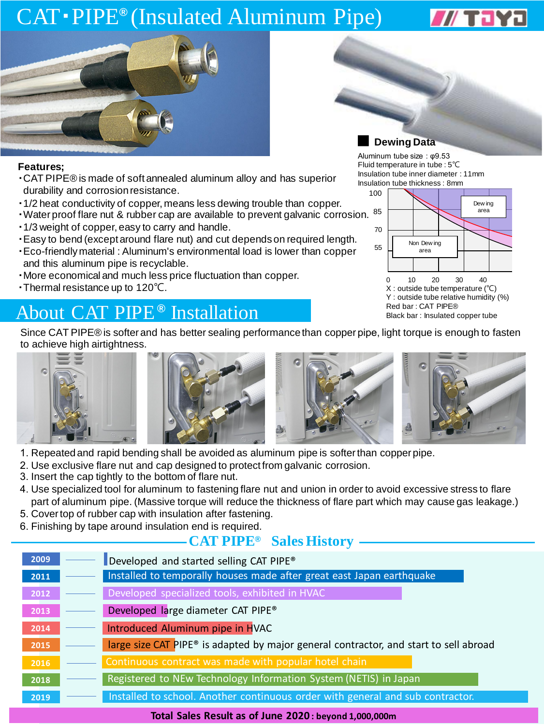# CAT · PIPE<sup>®</sup> (Insulated Aluminum Pipe)





#### **Features;**

- ・CAT PIPE® is made of soft annealed aluminum alloy and has superior durability and corrosion resistance.
- ・1/2 heat conductivity of copper, means less dewing trouble than copper.
- ・Water proof flare nut & rubber cap are available to prevent galvanic corrosion. 85
- ・1/3 weight of copper, easy to carry and handle.
- ・Easy to bend (except around flare nut) and cut depends on required length.
- ・Eco-friendly material : Aluminum's environmental load is lower than copper and this aluminum pipe is recyclable.
- ・More economical and much less price fluctuation than copper.
- ・Thermal resistance up to 120℃.

## About CAT PIPE<sup>®</sup> Installation Black bar : CAT PIPE®

#### **Dewing Data**

Aluminum tube size : φ9.53 Fluid temperature in tube : 5℃ Insulation tube inner diameter : 11mm Insulation tube thickness : 8mm



Since CAT PIPE® is softer and has better sealing performance than copper pipe, light torque is enough to fasten to achieve high airtightness.



- 1. Repeated and rapid bending shall be avoided as aluminum pipe is softer than copper pipe.
- 2. Use exclusive flare nut and cap designed to protect from galvanic corrosion.
- 3. Insert the cap tightly to the bottom of flare nut.
- 4. Use specialized tool for aluminum to fastening flare nut and union in order to avoid excessive stress to flare part of aluminum pipe. (Massive torque will reduce the thickness of flare part which may cause gas leakage.)
- 5. Cover top of rubber cap with insulation after fastening.
- 6. Finishing by tape around insulation end is required.

### $\longrightarrow$  **CAT PIPE<sup>®</sup>** Sales History

| 2009 | Developed and started selling CAT PIPE <sup>®</sup>                                               |  |  |  |  |  |  |  |
|------|---------------------------------------------------------------------------------------------------|--|--|--|--|--|--|--|
| 2011 | Installed to temporally houses made after great east Japan earthquake                             |  |  |  |  |  |  |  |
| 2012 | Developed specialized tools, exhibited in HVAC                                                    |  |  |  |  |  |  |  |
| 2013 | Developed large diameter CAT PIPE®                                                                |  |  |  |  |  |  |  |
| 2014 | Introduced Aluminum pipe in HVAC                                                                  |  |  |  |  |  |  |  |
| 2015 | large size CAT PIPE <sup>®</sup> is adapted by major general contractor, and start to sell abroad |  |  |  |  |  |  |  |
| 2016 | Continuous contract was made with popular hotel chain                                             |  |  |  |  |  |  |  |
| 2018 | Registered to NEw Technology Information System (NETIS) in Japan                                  |  |  |  |  |  |  |  |
| 2019 | Installed to school. Another continuous order with general and sub contractor.                    |  |  |  |  |  |  |  |

#### **Total Sales Result as of June 2020 : beyond 1,000,000m**